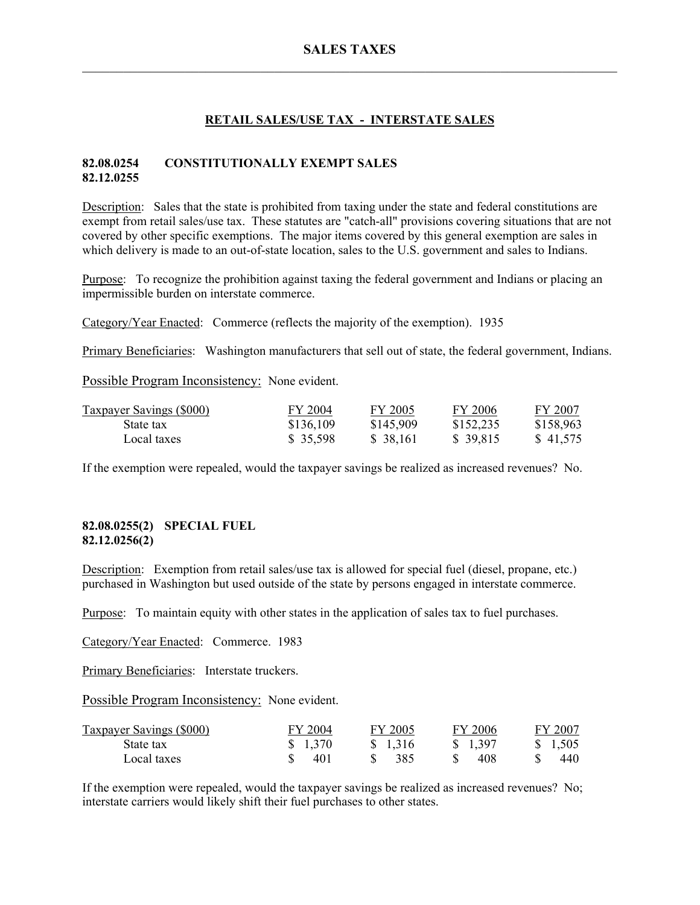# **SALES TAXES**   $\mathcal{L}_\mathcal{L} = \mathcal{L}_\mathcal{L} = \mathcal{L}_\mathcal{L} = \mathcal{L}_\mathcal{L} = \mathcal{L}_\mathcal{L} = \mathcal{L}_\mathcal{L} = \mathcal{L}_\mathcal{L} = \mathcal{L}_\mathcal{L} = \mathcal{L}_\mathcal{L} = \mathcal{L}_\mathcal{L} = \mathcal{L}_\mathcal{L} = \mathcal{L}_\mathcal{L} = \mathcal{L}_\mathcal{L} = \mathcal{L}_\mathcal{L} = \mathcal{L}_\mathcal{L} = \mathcal{L}_\mathcal{L} = \mathcal{L}_\mathcal{L}$

### **RETAIL SALES/USE TAX - INTERSTATE SALES**

#### **82.08.0254 CONSTITUTIONALLY EXEMPT SALES 82.12.0255**

Description: Sales that the state is prohibited from taxing under the state and federal constitutions are exempt from retail sales/use tax. These statutes are "catch-all" provisions covering situations that are not covered by other specific exemptions. The major items covered by this general exemption are sales in which delivery is made to an out-of-state location, sales to the U.S. government and sales to Indians.

Purpose: To recognize the prohibition against taxing the federal government and Indians or placing an impermissible burden on interstate commerce.

Category/Year Enacted: Commerce (reflects the majority of the exemption). 1935

Primary Beneficiaries: Washington manufacturers that sell out of state, the federal government, Indians.

Possible Program Inconsistency: None evident.

| <b>Taxpayer Savings (\$000)</b> | FY 2004   | FY 2005   | FY 2006   | FY 2007   |
|---------------------------------|-----------|-----------|-----------|-----------|
| State tax                       | \$136,109 | \$145,909 | \$152,235 | \$158,963 |
| Local taxes                     | \$35,598  | \$38,161  | \$39,815  | \$41,575  |

If the exemption were repealed, would the taxpayer savings be realized as increased revenues? No.

#### **82.08.0255(2) SPECIAL FUEL 82.12.0256(2)**

Description: Exemption from retail sales/use tax is allowed for special fuel (diesel, propane, etc.) purchased in Washington but used outside of the state by persons engaged in interstate commerce.

Purpose: To maintain equity with other states in the application of sales tax to fuel purchases.

Category/Year Enacted: Commerce. 1983

Primary Beneficiaries: Interstate truckers.

Possible Program Inconsistency: None evident.

| <b>Taxpayer Savings (\$000)</b> | FY 2004 | FY 2005 | FY 2006  | FY 2007 |
|---------------------------------|---------|---------|----------|---------|
| State tax                       | \$1,370 | \$1,316 | \$ 1,397 | \$1,505 |
| Local taxes                     | 401     | -385    | 408      | 440.    |

If the exemption were repealed, would the taxpayer savings be realized as increased revenues? No; interstate carriers would likely shift their fuel purchases to other states.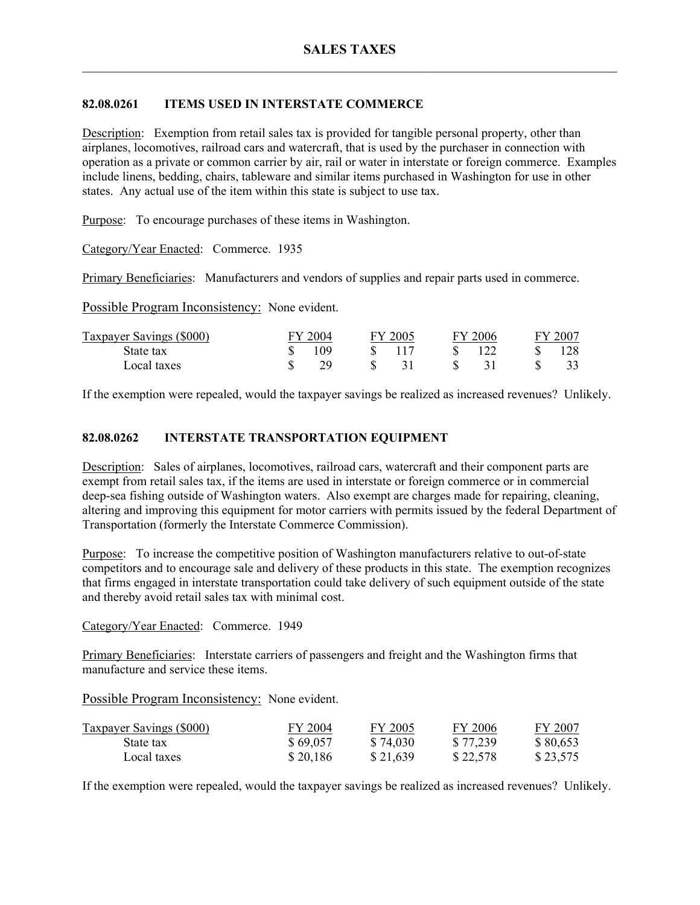# **82.08.0261 ITEMS USED IN INTERSTATE COMMERCE**

Description: Exemption from retail sales tax is provided for tangible personal property, other than airplanes, locomotives, railroad cars and watercraft, that is used by the purchaser in connection with operation as a private or common carrier by air, rail or water in interstate or foreign commerce. Examples include linens, bedding, chairs, tableware and similar items purchased in Washington for use in other states. Any actual use of the item within this state is subject to use tax.

Purpose: To encourage purchases of these items in Washington.

Category/Year Enacted: Commerce. 1935

Primary Beneficiaries: Manufacturers and vendors of supplies and repair parts used in commerce.

Possible Program Inconsistency: None evident.

| <b>Taxpayer Savings (\$000)</b> | 7004 | 'Y 2005 - |    | 2006 | FY 200 |
|---------------------------------|------|-----------|----|------|--------|
| State tax                       | 109  |           |    | 122  |        |
| Local taxes                     | 20.  |           | S. |      |        |

If the exemption were repealed, would the taxpayer savings be realized as increased revenues? Unlikely.

# **82.08.0262 INTERSTATE TRANSPORTATION EQUIPMENT**

Description: Sales of airplanes, locomotives, railroad cars, watercraft and their component parts are exempt from retail sales tax, if the items are used in interstate or foreign commerce or in commercial deep-sea fishing outside of Washington waters. Also exempt are charges made for repairing, cleaning, altering and improving this equipment for motor carriers with permits issued by the federal Department of Transportation (formerly the Interstate Commerce Commission).

Purpose: To increase the competitive position of Washington manufacturers relative to out-of-state competitors and to encourage sale and delivery of these products in this state. The exemption recognizes that firms engaged in interstate transportation could take delivery of such equipment outside of the state and thereby avoid retail sales tax with minimal cost.

Category/Year Enacted: Commerce. 1949

Primary Beneficiaries: Interstate carriers of passengers and freight and the Washington firms that manufacture and service these items.

Possible Program Inconsistency: None evident.

| <b>Taxpayer Savings (\$000)</b> | FY 2004  | FY 2005  | FY 2006  | FY 2007  |
|---------------------------------|----------|----------|----------|----------|
| State tax                       | \$69,057 | \$74,030 | \$77,239 | \$80,653 |
| Local taxes                     | \$20,186 | \$21,639 | \$22,578 | \$23,575 |

If the exemption were repealed, would the taxpayer savings be realized as increased revenues? Unlikely.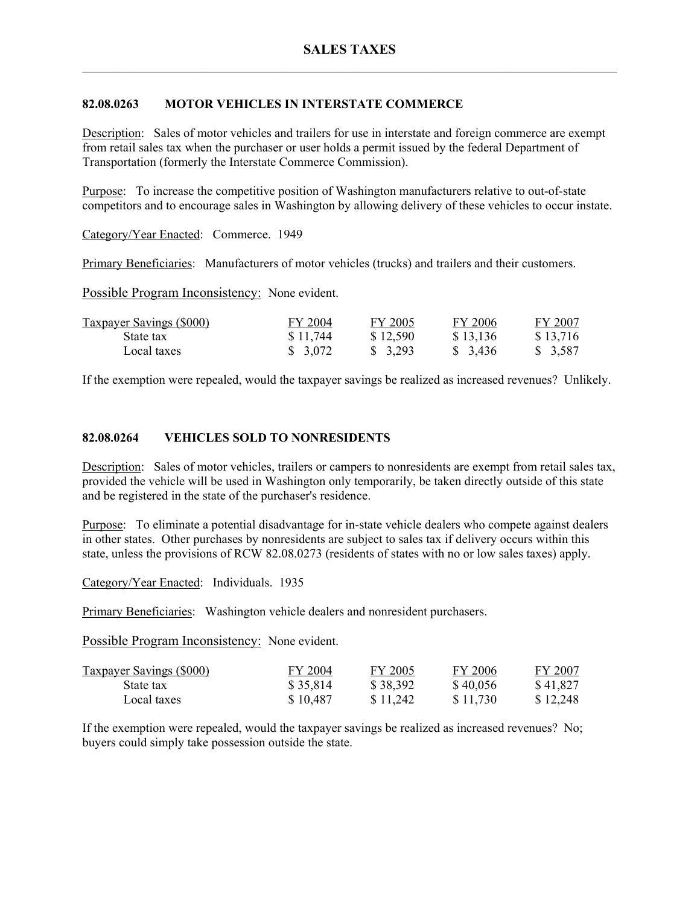# **82.08.0263 MOTOR VEHICLES IN INTERSTATE COMMERCE**

Description: Sales of motor vehicles and trailers for use in interstate and foreign commerce are exempt from retail sales tax when the purchaser or user holds a permit issued by the federal Department of Transportation (formerly the Interstate Commerce Commission).

Purpose: To increase the competitive position of Washington manufacturers relative to out-of-state competitors and to encourage sales in Washington by allowing delivery of these vehicles to occur instate.

Category/Year Enacted: Commerce. 1949

Primary Beneficiaries: Manufacturers of motor vehicles (trucks) and trailers and their customers.

Possible Program Inconsistency: None evident.

| <b>Taxpayer Savings (\$000)</b> | FY 2004  | FY 2005  | FY 2006  | FY 2007  |
|---------------------------------|----------|----------|----------|----------|
| State tax                       | \$11,744 | \$12,590 | \$13,136 | \$13,716 |
| Local taxes                     | \$3,072  | \$3,293  | \$ 3,436 | \$ 3,587 |

If the exemption were repealed, would the taxpayer savings be realized as increased revenues? Unlikely.

#### **82.08.0264 VEHICLES SOLD TO NONRESIDENTS**

Description: Sales of motor vehicles, trailers or campers to nonresidents are exempt from retail sales tax, provided the vehicle will be used in Washington only temporarily, be taken directly outside of this state and be registered in the state of the purchaser's residence.

Purpose: To eliminate a potential disadvantage for in-state vehicle dealers who compete against dealers in other states. Other purchases by nonresidents are subject to sales tax if delivery occurs within this state, unless the provisions of RCW 82.08.0273 (residents of states with no or low sales taxes) apply.

Category/Year Enacted: Individuals. 1935

Primary Beneficiaries: Washington vehicle dealers and nonresident purchasers.

Possible Program Inconsistency: None evident.

| <b>Taxpayer Savings (\$000)</b> | FY 2004  | FY 2005  | FY 2006  | FY 2007  |
|---------------------------------|----------|----------|----------|----------|
| State tax                       | \$35,814 | \$38,392 | \$40,056 | \$41,827 |
| Local taxes                     | \$10,487 | \$11,242 | \$11,730 | \$12,248 |

If the exemption were repealed, would the taxpayer savings be realized as increased revenues? No; buyers could simply take possession outside the state.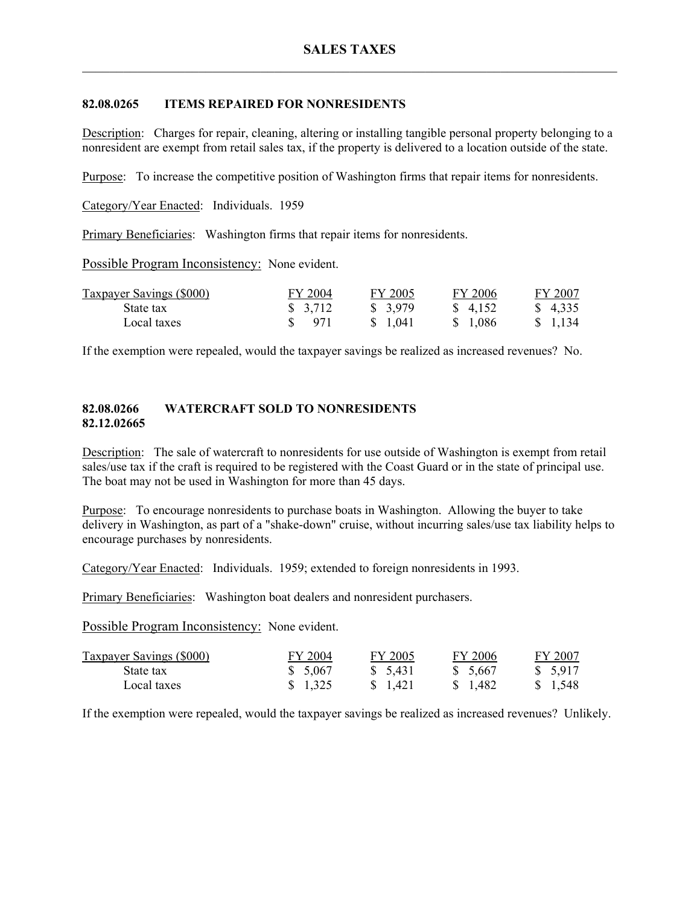# **82.08.0265 ITEMS REPAIRED FOR NONRESIDENTS**

Description: Charges for repair, cleaning, altering or installing tangible personal property belonging to a nonresident are exempt from retail sales tax, if the property is delivered to a location outside of the state.

Purpose: To increase the competitive position of Washington firms that repair items for nonresidents.

Category/Year Enacted: Individuals. 1959

Primary Beneficiaries: Washington firms that repair items for nonresidents.

Possible Program Inconsistency: None evident.

| <b>Taxpayer Savings (\$000)</b> | FY 2004 | FY 2005  | FY 2006  | FY 2007             |
|---------------------------------|---------|----------|----------|---------------------|
| State tax                       | \$3,712 | \$ 3,979 | \$ 4.152 | $\frac{1}{2}$ 4.335 |
| Local taxes                     | \$ 971  | \$ 1.041 | \$ 1.086 | \$1,134             |

If the exemption were repealed, would the taxpayer savings be realized as increased revenues? No.

### **82.08.0266 WATERCRAFT SOLD TO NONRESIDENTS 82.12.02665**

Description: The sale of watercraft to nonresidents for use outside of Washington is exempt from retail sales/use tax if the craft is required to be registered with the Coast Guard or in the state of principal use. The boat may not be used in Washington for more than 45 days.

Purpose: To encourage nonresidents to purchase boats in Washington. Allowing the buyer to take delivery in Washington, as part of a "shake-down" cruise, without incurring sales/use tax liability helps to encourage purchases by nonresidents.

Category/Year Enacted: Individuals. 1959; extended to foreign nonresidents in 1993.

Primary Beneficiaries: Washington boat dealers and nonresident purchasers.

Possible Program Inconsistency: None evident.

| <b>Taxpayer Savings (\$000)</b> | FY 2004  | FY 2005  | FY 2006  | FY 2007  |
|---------------------------------|----------|----------|----------|----------|
| State tax                       | \$ 5.067 | \$ 5,431 | \$ 5.667 | \$ 5,917 |
| Local taxes                     | \$1,325  | \$ 1.421 | \$ 1.482 | \$ 1,548 |

If the exemption were repealed, would the taxpayer savings be realized as increased revenues? Unlikely.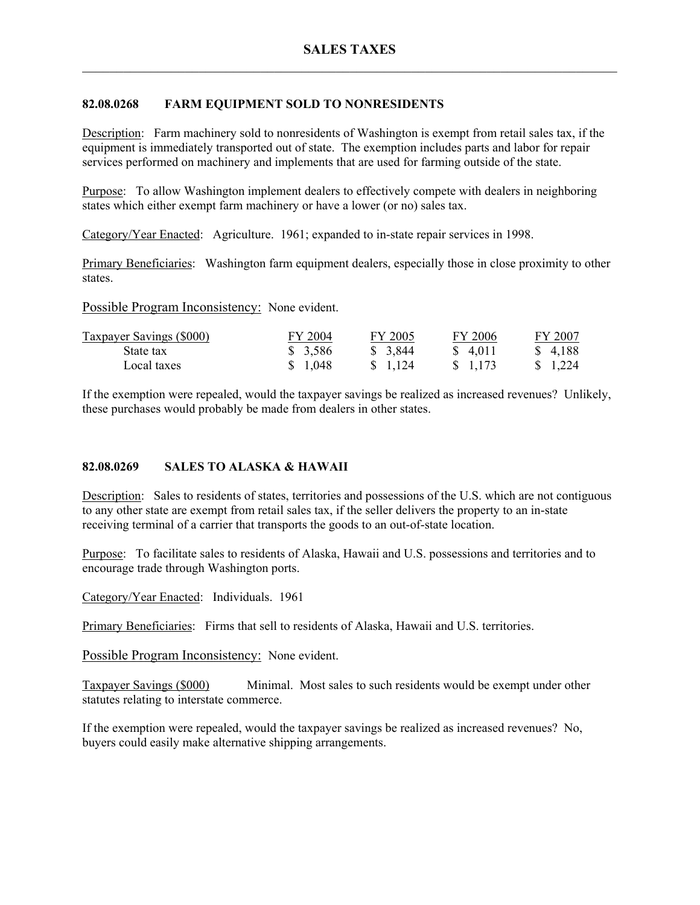## **82.08.0268 FARM EQUIPMENT SOLD TO NONRESIDENTS**

Description: Farm machinery sold to nonresidents of Washington is exempt from retail sales tax, if the equipment is immediately transported out of state. The exemption includes parts and labor for repair services performed on machinery and implements that are used for farming outside of the state.

Purpose: To allow Washington implement dealers to effectively compete with dealers in neighboring states which either exempt farm machinery or have a lower (or no) sales tax.

Category/Year Enacted: Agriculture. 1961; expanded to in-state repair services in 1998.

Primary Beneficiaries: Washington farm equipment dealers, especially those in close proximity to other states.

Possible Program Inconsistency: None evident.

| <b>Taxpayer Savings (\$000)</b> | FY 2004 | FY 2005  | FY 2006  | FY 2007  |
|---------------------------------|---------|----------|----------|----------|
| State tax                       | \$3,586 | \$ 3,844 | \$ 4.011 | \$4.188  |
| Local taxes                     | \$1,048 | \$ 1.124 | \$ 1,173 | \$ 1.224 |

If the exemption were repealed, would the taxpayer savings be realized as increased revenues? Unlikely, these purchases would probably be made from dealers in other states.

#### **82.08.0269 SALES TO ALASKA & HAWAII**

Description: Sales to residents of states, territories and possessions of the U.S. which are not contiguous to any other state are exempt from retail sales tax, if the seller delivers the property to an in-state receiving terminal of a carrier that transports the goods to an out-of-state location.

Purpose: To facilitate sales to residents of Alaska, Hawaii and U.S. possessions and territories and to encourage trade through Washington ports.

Category/Year Enacted: Individuals. 1961

Primary Beneficiaries: Firms that sell to residents of Alaska, Hawaii and U.S. territories.

Possible Program Inconsistency: None evident.

Taxpayer Savings (\$000) Minimal. Most sales to such residents would be exempt under other statutes relating to interstate commerce.

If the exemption were repealed, would the taxpayer savings be realized as increased revenues? No, buyers could easily make alternative shipping arrangements.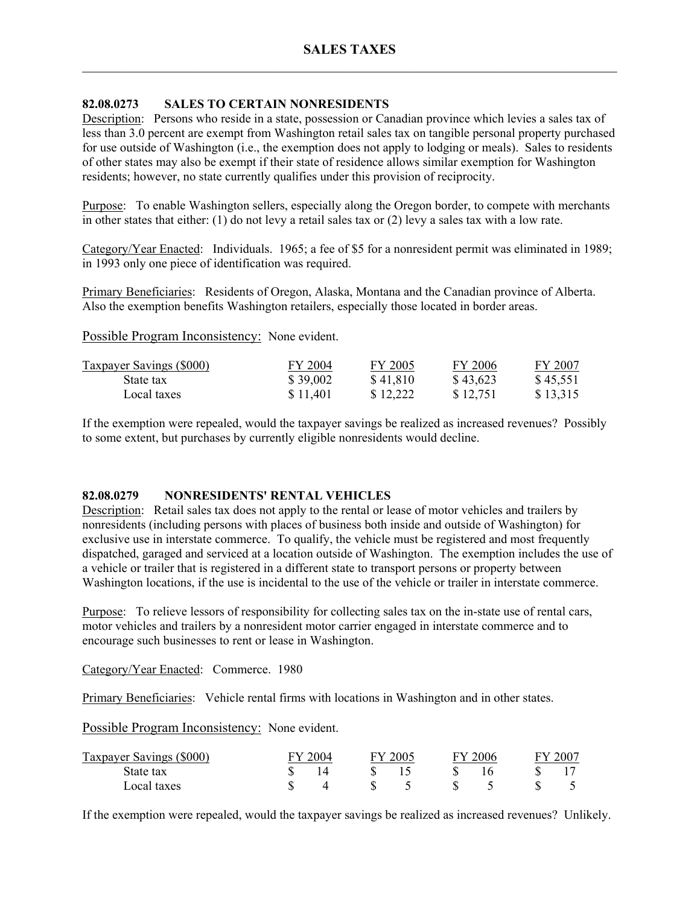### **82.08.0273 SALES TO CERTAIN NONRESIDENTS**

Description: Persons who reside in a state, possession or Canadian province which levies a sales tax of less than 3.0 percent are exempt from Washington retail sales tax on tangible personal property purchased for use outside of Washington (i.e., the exemption does not apply to lodging or meals). Sales to residents of other states may also be exempt if their state of residence allows similar exemption for Washington residents; however, no state currently qualifies under this provision of reciprocity.

Purpose: To enable Washington sellers, especially along the Oregon border, to compete with merchants in other states that either: (1) do not levy a retail sales tax or (2) levy a sales tax with a low rate.

Category/Year Enacted: Individuals. 1965; a fee of \$5 for a nonresident permit was eliminated in 1989; in 1993 only one piece of identification was required.

Primary Beneficiaries: Residents of Oregon, Alaska, Montana and the Canadian province of Alberta. Also the exemption benefits Washington retailers, especially those located in border areas.

Possible Program Inconsistency: None evident.

| <b>Taxpayer Savings (\$000)</b> | FY 2004  | FY 2005  | FY 2006  | FY 2007  |
|---------------------------------|----------|----------|----------|----------|
| State tax                       | \$39,002 | \$41,810 | \$43,623 | \$45,551 |
| Local taxes                     | \$11,401 | \$12.222 | \$12,751 | \$13,315 |

If the exemption were repealed, would the taxpayer savings be realized as increased revenues? Possibly to some extent, but purchases by currently eligible nonresidents would decline.

#### **82.08.0279 NONRESIDENTS' RENTAL VEHICLES**

Description: Retail sales tax does not apply to the rental or lease of motor vehicles and trailers by nonresidents (including persons with places of business both inside and outside of Washington) for exclusive use in interstate commerce. To qualify, the vehicle must be registered and most frequently dispatched, garaged and serviced at a location outside of Washington. The exemption includes the use of a vehicle or trailer that is registered in a different state to transport persons or property between Washington locations, if the use is incidental to the use of the vehicle or trailer in interstate commerce.

Purpose: To relieve lessors of responsibility for collecting sales tax on the in-state use of rental cars, motor vehicles and trailers by a nonresident motor carrier engaged in interstate commerce and to encourage such businesses to rent or lease in Washington.

Category/Year Enacted: Commerce. 1980

Primary Beneficiaries: Vehicle rental firms with locations in Washington and in other states.

Possible Program Inconsistency: None evident.

| Taxpayer Savings (\$000) | 'Y 2004 | FY 2005 | F.V | $-2006$ | $200^{\circ}$ |
|--------------------------|---------|---------|-----|---------|---------------|
| State tax                |         |         |     |         |               |
| Local taxes              |         |         |     |         |               |

If the exemption were repealed, would the taxpayer savings be realized as increased revenues? Unlikely.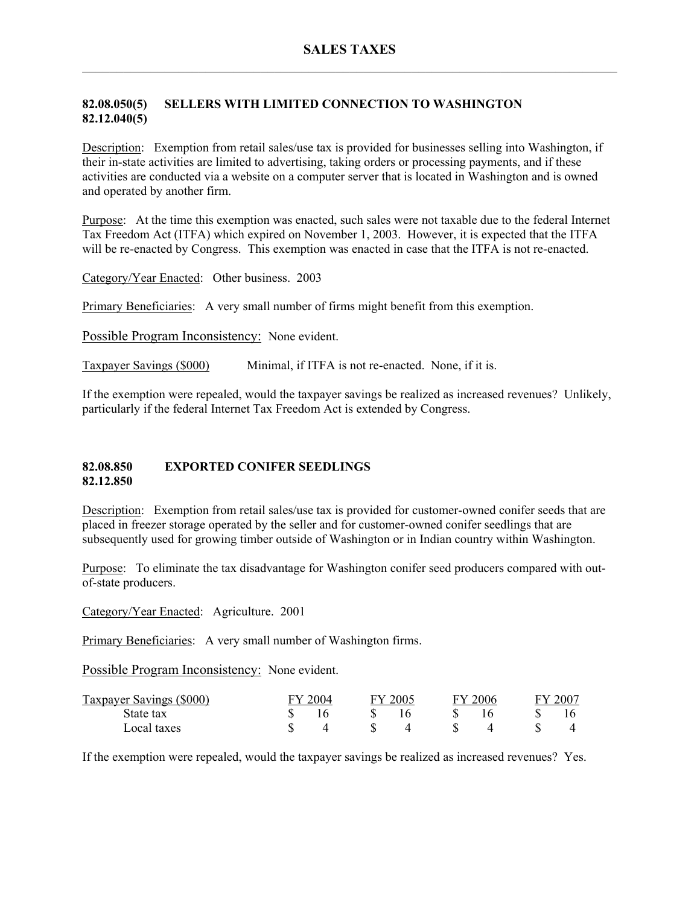## **82.08.050(5) SELLERS WITH LIMITED CONNECTION TO WASHINGTON 82.12.040(5)**

Description: Exemption from retail sales/use tax is provided for businesses selling into Washington, if their in-state activities are limited to advertising, taking orders or processing payments, and if these activities are conducted via a website on a computer server that is located in Washington and is owned and operated by another firm.

Purpose: At the time this exemption was enacted, such sales were not taxable due to the federal Internet Tax Freedom Act (ITFA) which expired on November 1, 2003. However, it is expected that the ITFA will be re-enacted by Congress. This exemption was enacted in case that the ITFA is not re-enacted.

Category/Year Enacted: Other business. 2003

Primary Beneficiaries: A very small number of firms might benefit from this exemption.

Possible Program Inconsistency: None evident.

Taxpayer Savings (\$000) Minimal, if ITFA is not re-enacted. None, if it is.

If the exemption were repealed, would the taxpayer savings be realized as increased revenues? Unlikely, particularly if the federal Internet Tax Freedom Act is extended by Congress.

#### **82.08.850 EXPORTED CONIFER SEEDLINGS 82.12.850**

Description: Exemption from retail sales/use tax is provided for customer-owned conifer seeds that are placed in freezer storage operated by the seller and for customer-owned conifer seedlings that are subsequently used for growing timber outside of Washington or in Indian country within Washington.

Purpose: To eliminate the tax disadvantage for Washington conifer seed producers compared with outof-state producers.

Category/Year Enacted: Agriculture. 2001

Primary Beneficiaries: A very small number of Washington firms.

Possible Program Inconsistency: None evident.

| Taxpayer Savings (\$000) | 2004 | FY 2005 | ∵∨⊹ | 2006 | $-200^-$ |
|--------------------------|------|---------|-----|------|----------|
| State tax                |      |         |     |      |          |
| Local taxes              |      |         |     |      |          |

If the exemption were repealed, would the taxpayer savings be realized as increased revenues? Yes.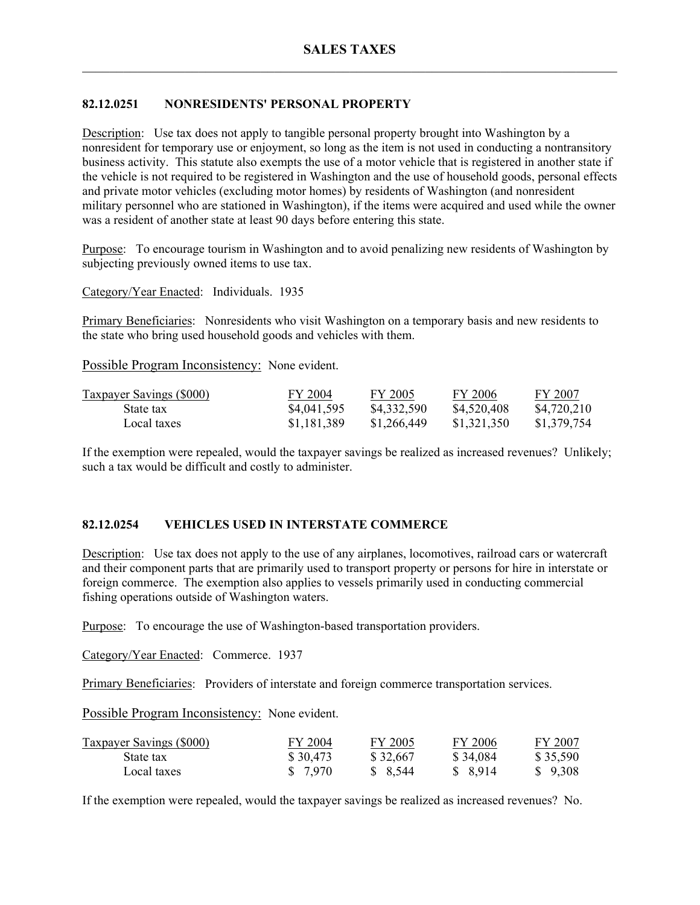# **82.12.0251 NONRESIDENTS' PERSONAL PROPERTY**

Description: Use tax does not apply to tangible personal property brought into Washington by a nonresident for temporary use or enjoyment, so long as the item is not used in conducting a nontransitory business activity. This statute also exempts the use of a motor vehicle that is registered in another state if the vehicle is not required to be registered in Washington and the use of household goods, personal effects and private motor vehicles (excluding motor homes) by residents of Washington (and nonresident military personnel who are stationed in Washington), if the items were acquired and used while the owner was a resident of another state at least 90 days before entering this state.

Purpose: To encourage tourism in Washington and to avoid penalizing new residents of Washington by subjecting previously owned items to use tax.

Category/Year Enacted: Individuals. 1935

Primary Beneficiaries: Nonresidents who visit Washington on a temporary basis and new residents to the state who bring used household goods and vehicles with them.

Possible Program Inconsistency: None evident.

| <b>Taxpayer Savings (\$000)</b> | FY 2004     | FY 2005     | FY 2006     | FY 2007     |
|---------------------------------|-------------|-------------|-------------|-------------|
| State tax                       | \$4,041,595 | \$4,332,590 | \$4,520,408 | \$4,720,210 |
| Local taxes                     | \$1,181,389 | \$1,266,449 | \$1,321,350 | \$1,379,754 |

If the exemption were repealed, would the taxpayer savings be realized as increased revenues? Unlikely; such a tax would be difficult and costly to administer.

## **82.12.0254 VEHICLES USED IN INTERSTATE COMMERCE**

Description: Use tax does not apply to the use of any airplanes, locomotives, railroad cars or watercraft and their component parts that are primarily used to transport property or persons for hire in interstate or foreign commerce. The exemption also applies to vessels primarily used in conducting commercial fishing operations outside of Washington waters.

Purpose: To encourage the use of Washington-based transportation providers.

Category/Year Enacted: Commerce. 1937

Primary Beneficiaries: Providers of interstate and foreign commerce transportation services.

Possible Program Inconsistency: None evident.

| <b>Taxpayer Savings (\$000)</b> | FY 2004  | FY 2005  | FY 2006  | FY 2007  |
|---------------------------------|----------|----------|----------|----------|
| State tax                       | \$30,473 | \$32,667 | \$34,084 | \$35,590 |
| Local taxes                     | \$ 7,970 | \$8,544  | \$ 8,914 | \$9,308  |

If the exemption were repealed, would the taxpayer savings be realized as increased revenues? No.